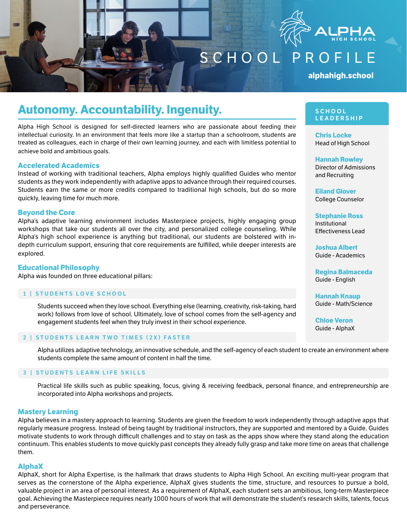

SCHOOL PROFILE

**alphahigh.school** 

# **Autonomy. Accountability. Ingenuity.**

Alpha High School is designed for self-directed learners who are passionate about feeding their intellectual curiosity. In an environment that feels more like a startup than a schoolroom, students are treated as colleagues, each in charge of their own learning journey, and each with limitless potential to achieve bold and ambitious goals.

#### **Accelerated Academics**

Instead of working with traditional teachers, Alpha employs highly qualified Guides who mentor students as they work independently with adaptive apps to advance through their required courses. Students earn the same or more credits compared to traditional high schools, but do so more quickly, leaving time for much more.

### **Beyond the Core**

Alpha's adaptive learning environment includes Masterpiece projects, highly engaging group workshops that take our students all over the city, and personalized college counseling. While Alpha's high school experience is anything but traditional, our students are bolstered with indepth curriculum support, ensuring that core requirements are fulfilled, while deeper interests are explored.

# **Educational Philosophy**

Alpha was founded on three educational pillars:

#### 1 | STUDENTS LOVE SCHOOL

Students succeed when they love school. Everything else (learning, creativity, risk-taking, hard work) follows from love of school. Ultimately, love of school comes from the self-agency and engagement students feel when they truly invest in their school experience.

#### 2 | STUDENTS LEARN TWO TIMES (2X) FASTER

Alpha utilizes adaptive technology, an innovative schedule, and the self-agency of each student to create an environment where students complete the same amount of content in half the time.

# 3 | STUDENTS LEARN LIFE SKILLS

Practical life skills such as public speaking, focus, giving & receiving feedback, personal finance, and entrepreneurship are incorporated into Alpha workshops and projects.

#### **Mastery Learning**

Alpha believes in a mastery approach to learning. Students are given the freedom to work independently through adaptive apps that regularly measure progress. Instead of being taught by traditional instructors, they are supported and mentored by a Guide. Guides motivate students to work through difficult challenges and to stay on task as the apps show where they stand along the education continuum. This enables students to move quickly past concepts they already fully grasp and take more time on areas that challenge them.

#### **AlphaX**

AlphaX, short for Alpha Expertise, is the hallmark that draws students to Alpha High School. An exciting multi-year program that serves as the cornerstone of the Alpha experience, AlphaX gives students the time, structure, and resources to pursue a bold, valuable project in an area of personal interest. As a requirement of AlphaX, each student sets an ambitious, long-term Masterpiece goal. Achieving the Masterpiece requires nearly 1000 hours of work that will demonstrate the student's research skills, talents, focus and perseverance.

#### SCHOOL **LEADERSHIP**

**Chris Locke** Head of High School

**Hannah Rowley** Director of Admissions and Recruiting

**Eiland Glover** College Counselor

**Stephanie Ross** Institutional Effectiveness Lead

**Joshua Albert** Guide - Academics

**Regina Balmaceda** Guide - English

**Hannah Knaup** Guide - Math/Science

**Chloe Veron** Guide - AlphaX